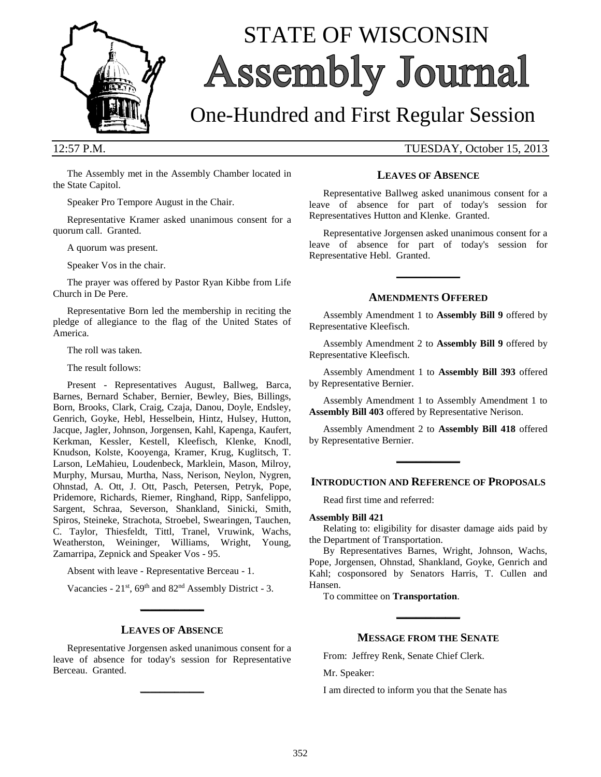

# STATE OF WISCONSIN Assembly Journal

## One-Hundred and First Regular Session

12:57 P.M. TUESDAY, October 15, 2013

The Assembly met in the Assembly Chamber located in the State Capitol.

Speaker Pro Tempore August in the Chair.

Representative Kramer asked unanimous consent for a quorum call. Granted.

A quorum was present.

Speaker Vos in the chair.

The prayer was offered by Pastor Ryan Kibbe from Life Church in De Pere.

Representative Born led the membership in reciting the pledge of allegiance to the flag of the United States of America.

The roll was taken.

The result follows:

Present - Representatives August, Ballweg, Barca, Barnes, Bernard Schaber, Bernier, Bewley, Bies, Billings, Born, Brooks, Clark, Craig, Czaja, Danou, Doyle, Endsley, Genrich, Goyke, Hebl, Hesselbein, Hintz, Hulsey, Hutton, Jacque, Jagler, Johnson, Jorgensen, Kahl, Kapenga, Kaufert, Kerkman, Kessler, Kestell, Kleefisch, Klenke, Knodl, Knudson, Kolste, Kooyenga, Kramer, Krug, Kuglitsch, T. Larson, LeMahieu, Loudenbeck, Marklein, Mason, Milroy, Murphy, Mursau, Murtha, Nass, Nerison, Neylon, Nygren, Ohnstad, A. Ott, J. Ott, Pasch, Petersen, Petryk, Pope, Pridemore, Richards, Riemer, Ringhand, Ripp, Sanfelippo, Sargent, Schraa, Severson, Shankland, Sinicki, Smith, Spiros, Steineke, Strachota, Stroebel, Swearingen, Tauchen, C. Taylor, Thiesfeldt, Tittl, Tranel, Vruwink, Wachs, Weatherston, Weininger, Williams, Wright, Young, Zamarripa, Zepnick and Speaker Vos - 95.

Absent with leave - Representative Berceau - 1.

Vacancies - 21<sup>st</sup>, 69<sup>th</sup> and 82<sup>nd</sup> Assembly District - 3. **\_\_\_\_\_\_\_\_\_\_\_\_\_**

#### **LEAVES OF ABSENCE**

Representative Jorgensen asked unanimous consent for a leave of absence for today's session for Representative Berceau. Granted.

**\_\_\_\_\_\_\_\_\_\_\_\_\_**

#### **LEAVES OF ABSENCE**

Representative Ballweg asked unanimous consent for a leave of absence for part of today's session for Representatives Hutton and Klenke. Granted.

Representative Jorgensen asked unanimous consent for a leave of absence for part of today's session for Representative Hebl. Granted.

#### **AMENDMENTS OFFERED**

**\_\_\_\_\_\_\_\_\_\_\_\_\_**

Assembly Amendment 1 to **Assembly Bill 9** offered by Representative Kleefisch.

Assembly Amendment 2 to **Assembly Bill 9** offered by Representative Kleefisch.

Assembly Amendment 1 to **Assembly Bill 393** offered by Representative Bernier.

Assembly Amendment 1 to Assembly Amendment 1 to **Assembly Bill 403** offered by Representative Nerison.

Assembly Amendment 2 to **Assembly Bill 418** offered by Representative Bernier.

**\_\_\_\_\_\_\_\_\_\_\_\_\_**

#### **INTRODUCTION AND REFERENCE OF PROPOSALS**

Read first time and referred:

#### **Assembly Bill 421**

Relating to: eligibility for disaster damage aids paid by the Department of Transportation.

By Representatives Barnes, Wright, Johnson, Wachs, Pope, Jorgensen, Ohnstad, Shankland, Goyke, Genrich and Kahl; cosponsored by Senators Harris, T. Cullen and Hansen.

To committee on **Transportation**.

#### **MESSAGE FROM THE SENATE**

**\_\_\_\_\_\_\_\_\_\_\_\_\_**

From: Jeffrey Renk, Senate Chief Clerk.

Mr. Speaker:

I am directed to inform you that the Senate has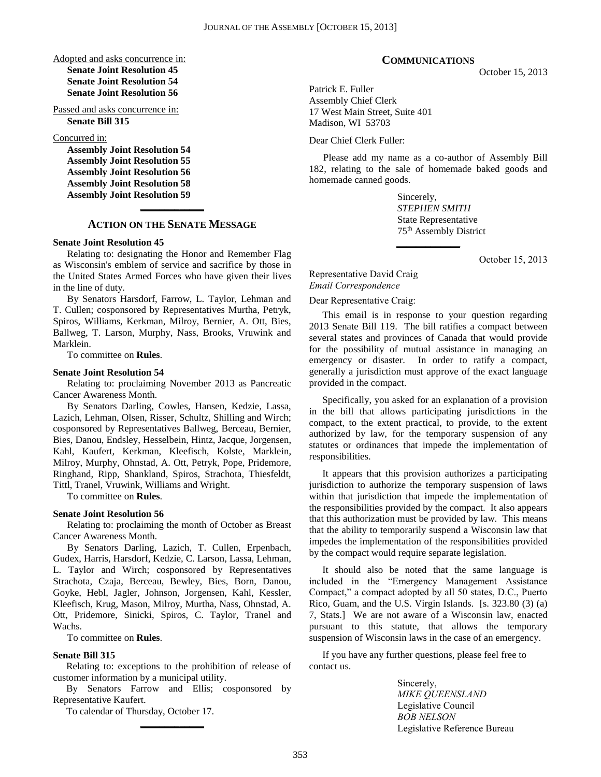#### Adopted and asks concurrence in: **Senate Joint Resolution 45 Senate Joint Resolution 54 Senate Joint Resolution 56**

Passed and asks concurrence in: **Senate Bill 315**

Concurred in:

**Assembly Joint Resolution 54 Assembly Joint Resolution 55 Assembly Joint Resolution 56 Assembly Joint Resolution 58 Assembly Joint Resolution 59**

### **\_\_\_\_\_\_\_\_\_\_\_\_\_ ACTION ON THE SENATE MESSAGE**

#### **Senate Joint Resolution 45**

Relating to: designating the Honor and Remember Flag as Wisconsin's emblem of service and sacrifice by those in the United States Armed Forces who have given their lives in the line of duty.

By Senators Harsdorf, Farrow, L. Taylor, Lehman and T. Cullen; cosponsored by Representatives Murtha, Petryk, Spiros, Williams, Kerkman, Milroy, Bernier, A. Ott, Bies, Ballweg, T. Larson, Murphy, Nass, Brooks, Vruwink and Marklein.

To committee on **Rules**.

#### **Senate Joint Resolution 54**

Relating to: proclaiming November 2013 as Pancreatic Cancer Awareness Month.

By Senators Darling, Cowles, Hansen, Kedzie, Lassa, Lazich, Lehman, Olsen, Risser, Schultz, Shilling and Wirch; cosponsored by Representatives Ballweg, Berceau, Bernier, Bies, Danou, Endsley, Hesselbein, Hintz, Jacque, Jorgensen, Kahl, Kaufert, Kerkman, Kleefisch, Kolste, Marklein, Milroy, Murphy, Ohnstad, A. Ott, Petryk, Pope, Pridemore, Ringhand, Ripp, Shankland, Spiros, Strachota, Thiesfeldt, Tittl, Tranel, Vruwink, Williams and Wright.

To committee on **Rules**.

#### **Senate Joint Resolution 56**

Relating to: proclaiming the month of October as Breast Cancer Awareness Month.

By Senators Darling, Lazich, T. Cullen, Erpenbach, Gudex, Harris, Harsdorf, Kedzie, C. Larson, Lassa, Lehman, L. Taylor and Wirch; cosponsored by Representatives Strachota, Czaja, Berceau, Bewley, Bies, Born, Danou, Goyke, Hebl, Jagler, Johnson, Jorgensen, Kahl, Kessler, Kleefisch, Krug, Mason, Milroy, Murtha, Nass, Ohnstad, A. Ott, Pridemore, Sinicki, Spiros, C. Taylor, Tranel and Wachs.

To committee on **Rules**.

#### **Senate Bill 315**

Relating to: exceptions to the prohibition of release of customer information by a municipal utility.

By Senators Farrow and Ellis; cosponsored by Representative Kaufert.

**\_\_\_\_\_\_\_\_\_\_\_\_\_**

To calendar of Thursday, October 17.

#### **COMMUNICATIONS**

October 15, 2013

Patrick E. Fuller Assembly Chief Clerk 17 West Main Street, Suite 401 Madison, WI 53703

Dear Chief Clerk Fuller:

Please add my name as a co-author of Assembly Bill 182, relating to the sale of homemade baked goods and homemade canned goods.

**\_\_\_\_\_\_\_\_\_\_\_\_\_**

Sincerely, *STEPHEN SMITH* State Representative 75th Assembly District

October 15, 2013

Representative David Craig *Email Correspondence*

Dear Representative Craig:

This email is in response to your question regarding 2013 Senate Bill 119. The bill ratifies a compact between several states and provinces of Canada that would provide for the possibility of mutual assistance in managing an emergency or disaster. In order to ratify a compact, generally a jurisdiction must approve of the exact language provided in the compact.

Specifically, you asked for an explanation of a provision in the bill that allows participating jurisdictions in the compact, to the extent practical, to provide, to the extent authorized by law, for the temporary suspension of any statutes or ordinances that impede the implementation of responsibilities.

It appears that this provision authorizes a participating jurisdiction to authorize the temporary suspension of laws within that jurisdiction that impede the implementation of the responsibilities provided by the compact. It also appears that this authorization must be provided by law. This means that the ability to temporarily suspend a Wisconsin law that impedes the implementation of the responsibilities provided by the compact would require separate legislation.

It should also be noted that the same language is included in the "Emergency Management Assistance Compact," a compact adopted by all 50 states, D.C., Puerto Rico, Guam, and the U.S. Virgin Islands. [s. 323.80 (3) (a) 7, Stats.] We are not aware of a Wisconsin law, enacted pursuant to this statute, that allows the temporary suspension of Wisconsin laws in the case of an emergency.

If you have any further questions, please feel free to contact us.

> Sincerely, *MIKE QUEENSLAND* Legislative Council *BOB NELSON* Legislative Reference Bureau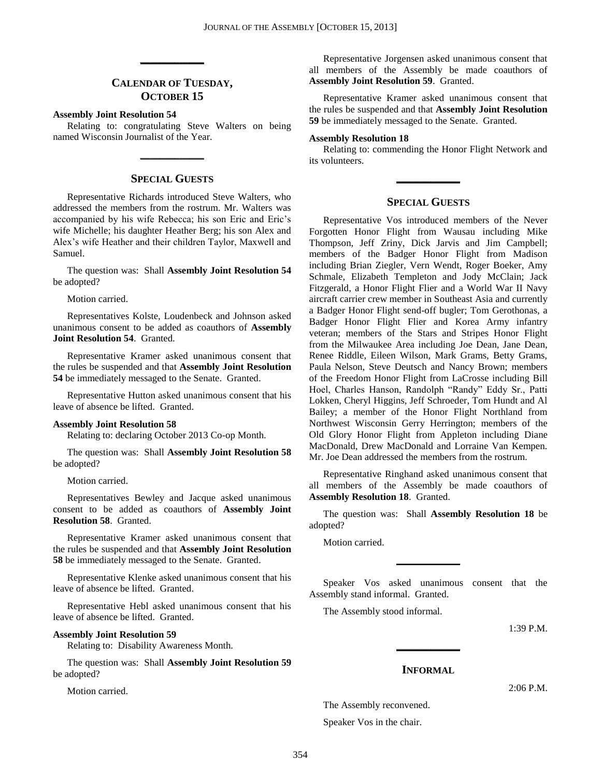#### **CALENDAR OF TUESDAY, OCTOBER 15**

**\_\_\_\_\_\_\_\_\_\_\_\_\_**

#### **Assembly Joint Resolution 54**

Relating to: congratulating Steve Walters on being named Wisconsin Journalist of the Year.

**\_\_\_\_\_\_\_\_\_\_\_\_\_**

#### **SPECIAL GUESTS**

Representative Richards introduced Steve Walters, who addressed the members from the rostrum. Mr. Walters was accompanied by his wife Rebecca; his son Eric and Eric's wife Michelle; his daughter Heather Berg; his son Alex and Alex's wife Heather and their children Taylor, Maxwell and Samuel.

The question was: Shall **Assembly Joint Resolution 54** be adopted?

Motion carried.

Representatives Kolste, Loudenbeck and Johnson asked unanimous consent to be added as coauthors of **Assembly Joint Resolution 54**. Granted.

Representative Kramer asked unanimous consent that the rules be suspended and that **Assembly Joint Resolution 54** be immediately messaged to the Senate. Granted.

Representative Hutton asked unanimous consent that his leave of absence be lifted. Granted.

#### **Assembly Joint Resolution 58**

Relating to: declaring October 2013 Co-op Month.

The question was: Shall **Assembly Joint Resolution 58** be adopted?

Motion carried.

Representatives Bewley and Jacque asked unanimous consent to be added as coauthors of **Assembly Joint Resolution 58**. Granted.

Representative Kramer asked unanimous consent that the rules be suspended and that **Assembly Joint Resolution 58** be immediately messaged to the Senate. Granted.

Representative Klenke asked unanimous consent that his leave of absence be lifted. Granted.

Representative Hebl asked unanimous consent that his leave of absence be lifted. Granted.

#### **Assembly Joint Resolution 59**

Relating to: Disability Awareness Month.

The question was: Shall **Assembly Joint Resolution 59** be adopted?

Motion carried.

Representative Jorgensen asked unanimous consent that all members of the Assembly be made coauthors of **Assembly Joint Resolution 59**. Granted.

Representative Kramer asked unanimous consent that the rules be suspended and that **Assembly Joint Resolution 59** be immediately messaged to the Senate. Granted.

#### **Assembly Resolution 18**

Relating to: commending the Honor Flight Network and its volunteers.

**\_\_\_\_\_\_\_\_\_\_\_\_\_**

#### **SPECIAL GUESTS**

Representative Vos introduced members of the Never Forgotten Honor Flight from Wausau including Mike Thompson, Jeff Zriny, Dick Jarvis and Jim Campbell; members of the Badger Honor Flight from Madison including Brian Ziegler, Vern Wendt, Roger Boeker, Amy Schmale, Elizabeth Templeton and Jody McClain; Jack Fitzgerald, a Honor Flight Flier and a World War II Navy aircraft carrier crew member in Southeast Asia and currently a Badger Honor Flight send-off bugler; Tom Gerothonas, a Badger Honor Flight Flier and Korea Army infantry veteran; members of the Stars and Stripes Honor Flight from the Milwaukee Area including Joe Dean, Jane Dean, Renee Riddle, Eileen Wilson, Mark Grams, Betty Grams, Paula Nelson, Steve Deutsch and Nancy Brown; members of the Freedom Honor Flight from LaCrosse including Bill Hoel, Charles Hanson, Randolph "Randy" Eddy Sr., Patti Lokken, Cheryl Higgins, Jeff Schroeder, Tom Hundt and Al Bailey; a member of the Honor Flight Northland from Northwest Wisconsin Gerry Herrington; members of the Old Glory Honor Flight from Appleton including Diane MacDonald, Drew MacDonald and Lorraine Van Kempen. Mr. Joe Dean addressed the members from the rostrum.

Representative Ringhand asked unanimous consent that all members of the Assembly be made coauthors of **Assembly Resolution 18**. Granted.

The question was: Shall **Assembly Resolution 18** be adopted?

Motion carried.

Speaker Vos asked unanimous consent that the Assembly stand informal. Granted.

**\_\_\_\_\_\_\_\_\_\_\_\_\_**

The Assembly stood informal.

1:39 P.M.

#### **INFORMAL**

**\_\_\_\_\_\_\_\_\_\_\_\_\_**

2:06 P.M.

The Assembly reconvened.

Speaker Vos in the chair.

354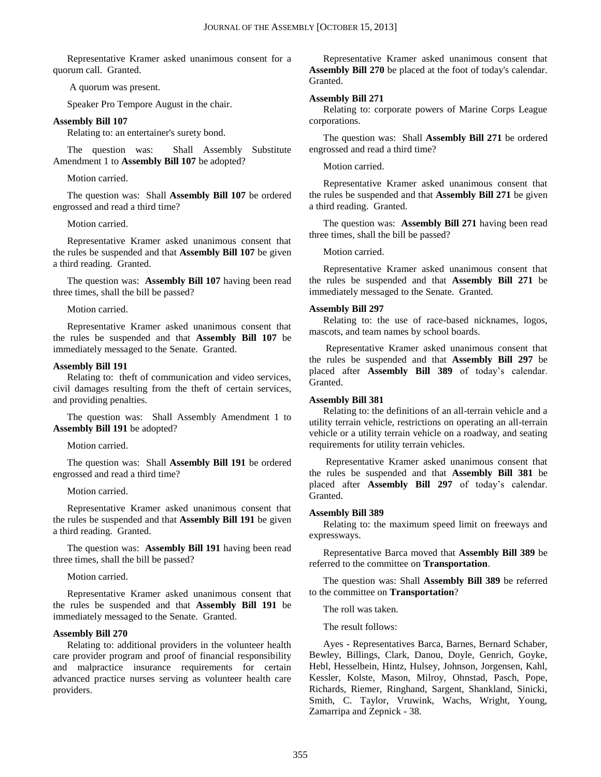Representative Kramer asked unanimous consent for a quorum call. Granted.

A quorum was present.

Speaker Pro Tempore August in the chair.

#### **Assembly Bill 107**

Relating to: an entertainer's surety bond.

The question was: Shall Assembly Substitute Amendment 1 to **Assembly Bill 107** be adopted?

Motion carried.

The question was: Shall **Assembly Bill 107** be ordered engrossed and read a third time?

#### Motion carried.

Representative Kramer asked unanimous consent that the rules be suspended and that **Assembly Bill 107** be given a third reading. Granted.

The question was: **Assembly Bill 107** having been read three times, shall the bill be passed?

Motion carried.

Representative Kramer asked unanimous consent that the rules be suspended and that **Assembly Bill 107** be immediately messaged to the Senate. Granted.

#### **Assembly Bill 191**

Relating to: theft of communication and video services, civil damages resulting from the theft of certain services, and providing penalties.

The question was: Shall Assembly Amendment 1 to **Assembly Bill 191** be adopted?

Motion carried.

The question was: Shall **Assembly Bill 191** be ordered engrossed and read a third time?

Motion carried.

Representative Kramer asked unanimous consent that the rules be suspended and that **Assembly Bill 191** be given a third reading. Granted.

The question was: **Assembly Bill 191** having been read three times, shall the bill be passed?

Motion carried.

Representative Kramer asked unanimous consent that the rules be suspended and that **Assembly Bill 191** be immediately messaged to the Senate. Granted.

#### **Assembly Bill 270**

Relating to: additional providers in the volunteer health care provider program and proof of financial responsibility and malpractice insurance requirements for certain advanced practice nurses serving as volunteer health care providers.

Representative Kramer asked unanimous consent that **Assembly Bill 270** be placed at the foot of today's calendar. Granted.

#### **Assembly Bill 271**

Relating to: corporate powers of Marine Corps League corporations.

The question was: Shall **Assembly Bill 271** be ordered engrossed and read a third time?

#### Motion carried.

Representative Kramer asked unanimous consent that the rules be suspended and that **Assembly Bill 271** be given a third reading. Granted.

The question was: **Assembly Bill 271** having been read three times, shall the bill be passed?

Motion carried.

Representative Kramer asked unanimous consent that the rules be suspended and that **Assembly Bill 271** be immediately messaged to the Senate. Granted.

#### **Assembly Bill 297**

Relating to: the use of race-based nicknames, logos, mascots, and team names by school boards.

Representative Kramer asked unanimous consent that the rules be suspended and that **Assembly Bill 297** be placed after **Assembly Bill 389** of today's calendar. Granted.

#### **Assembly Bill 381**

Relating to: the definitions of an all-terrain vehicle and a utility terrain vehicle, restrictions on operating an all-terrain vehicle or a utility terrain vehicle on a roadway, and seating requirements for utility terrain vehicles.

Representative Kramer asked unanimous consent that the rules be suspended and that **Assembly Bill 381** be placed after **Assembly Bill 297** of today's calendar. Granted.

#### **Assembly Bill 389**

Relating to: the maximum speed limit on freeways and expressways.

Representative Barca moved that **Assembly Bill 389** be referred to the committee on **Transportation**.

The question was: Shall **Assembly Bill 389** be referred to the committee on **Transportation**?

The roll was taken.

The result follows:

Ayes - Representatives Barca, Barnes, Bernard Schaber, Bewley, Billings, Clark, Danou, Doyle, Genrich, Goyke, Hebl, Hesselbein, Hintz, Hulsey, Johnson, Jorgensen, Kahl, Kessler, Kolste, Mason, Milroy, Ohnstad, Pasch, Pope, Richards, Riemer, Ringhand, Sargent, Shankland, Sinicki, Smith, C. Taylor, Vruwink, Wachs, Wright, Young, Zamarripa and Zepnick - 38.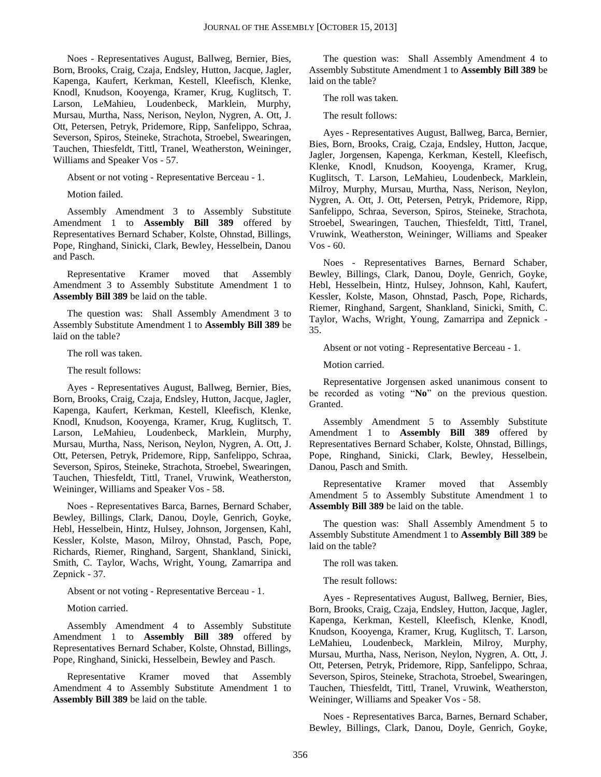Noes - Representatives August, Ballweg, Bernier, Bies, Born, Brooks, Craig, Czaja, Endsley, Hutton, Jacque, Jagler, Kapenga, Kaufert, Kerkman, Kestell, Kleefisch, Klenke, Knodl, Knudson, Kooyenga, Kramer, Krug, Kuglitsch, T. Larson, LeMahieu, Loudenbeck, Marklein, Murphy, Mursau, Murtha, Nass, Nerison, Neylon, Nygren, A. Ott, J. Ott, Petersen, Petryk, Pridemore, Ripp, Sanfelippo, Schraa, Severson, Spiros, Steineke, Strachota, Stroebel, Swearingen, Tauchen, Thiesfeldt, Tittl, Tranel, Weatherston, Weininger, Williams and Speaker Vos - 57.

Absent or not voting - Representative Berceau - 1.

Motion failed.

Assembly Amendment 3 to Assembly Substitute Amendment 1 to **Assembly Bill 389** offered by Representatives Bernard Schaber, Kolste, Ohnstad, Billings, Pope, Ringhand, Sinicki, Clark, Bewley, Hesselbein, Danou and Pasch.

Representative Kramer moved that Assembly Amendment 3 to Assembly Substitute Amendment 1 to **Assembly Bill 389** be laid on the table.

The question was: Shall Assembly Amendment 3 to Assembly Substitute Amendment 1 to **Assembly Bill 389** be laid on the table?

The roll was taken.

The result follows:

Ayes - Representatives August, Ballweg, Bernier, Bies, Born, Brooks, Craig, Czaja, Endsley, Hutton, Jacque, Jagler, Kapenga, Kaufert, Kerkman, Kestell, Kleefisch, Klenke, Knodl, Knudson, Kooyenga, Kramer, Krug, Kuglitsch, T. Larson, LeMahieu, Loudenbeck, Marklein, Murphy, Mursau, Murtha, Nass, Nerison, Neylon, Nygren, A. Ott, J. Ott, Petersen, Petryk, Pridemore, Ripp, Sanfelippo, Schraa, Severson, Spiros, Steineke, Strachota, Stroebel, Swearingen, Tauchen, Thiesfeldt, Tittl, Tranel, Vruwink, Weatherston, Weininger, Williams and Speaker Vos - 58.

Noes - Representatives Barca, Barnes, Bernard Schaber, Bewley, Billings, Clark, Danou, Doyle, Genrich, Goyke, Hebl, Hesselbein, Hintz, Hulsey, Johnson, Jorgensen, Kahl, Kessler, Kolste, Mason, Milroy, Ohnstad, Pasch, Pope, Richards, Riemer, Ringhand, Sargent, Shankland, Sinicki, Smith, C. Taylor, Wachs, Wright, Young, Zamarripa and Zepnick - 37.

Absent or not voting - Representative Berceau - 1.

Motion carried.

Assembly Amendment 4 to Assembly Substitute Amendment 1 to **Assembly Bill 389** offered by Representatives Bernard Schaber, Kolste, Ohnstad, Billings, Pope, Ringhand, Sinicki, Hesselbein, Bewley and Pasch.

Representative Kramer moved that Assembly Amendment 4 to Assembly Substitute Amendment 1 to **Assembly Bill 389** be laid on the table.

The question was: Shall Assembly Amendment 4 to Assembly Substitute Amendment 1 to **Assembly Bill 389** be laid on the table?

The roll was taken.

The result follows:

Ayes - Representatives August, Ballweg, Barca, Bernier, Bies, Born, Brooks, Craig, Czaja, Endsley, Hutton, Jacque, Jagler, Jorgensen, Kapenga, Kerkman, Kestell, Kleefisch, Klenke, Knodl, Knudson, Kooyenga, Kramer, Krug, Kuglitsch, T. Larson, LeMahieu, Loudenbeck, Marklein, Milroy, Murphy, Mursau, Murtha, Nass, Nerison, Neylon, Nygren, A. Ott, J. Ott, Petersen, Petryk, Pridemore, Ripp, Sanfelippo, Schraa, Severson, Spiros, Steineke, Strachota, Stroebel, Swearingen, Tauchen, Thiesfeldt, Tittl, Tranel, Vruwink, Weatherston, Weininger, Williams and Speaker Vos - 60.

Noes - Representatives Barnes, Bernard Schaber, Bewley, Billings, Clark, Danou, Doyle, Genrich, Goyke, Hebl, Hesselbein, Hintz, Hulsey, Johnson, Kahl, Kaufert, Kessler, Kolste, Mason, Ohnstad, Pasch, Pope, Richards, Riemer, Ringhand, Sargent, Shankland, Sinicki, Smith, C. Taylor, Wachs, Wright, Young, Zamarripa and Zepnick - 35.

Absent or not voting - Representative Berceau - 1.

Motion carried.

Representative Jorgensen asked unanimous consent to be recorded as voting "**No**" on the previous question. Granted.

Assembly Amendment 5 to Assembly Substitute Amendment 1 to **Assembly Bill 389** offered by Representatives Bernard Schaber, Kolste, Ohnstad, Billings, Pope, Ringhand, Sinicki, Clark, Bewley, Hesselbein, Danou, Pasch and Smith.

Representative Kramer moved that Assembly Amendment 5 to Assembly Substitute Amendment 1 to **Assembly Bill 389** be laid on the table.

The question was: Shall Assembly Amendment 5 to Assembly Substitute Amendment 1 to **Assembly Bill 389** be laid on the table?

The roll was taken.

The result follows:

Ayes - Representatives August, Ballweg, Bernier, Bies, Born, Brooks, Craig, Czaja, Endsley, Hutton, Jacque, Jagler, Kapenga, Kerkman, Kestell, Kleefisch, Klenke, Knodl, Knudson, Kooyenga, Kramer, Krug, Kuglitsch, T. Larson, LeMahieu, Loudenbeck, Marklein, Milroy, Murphy, Mursau, Murtha, Nass, Nerison, Neylon, Nygren, A. Ott, J. Ott, Petersen, Petryk, Pridemore, Ripp, Sanfelippo, Schraa, Severson, Spiros, Steineke, Strachota, Stroebel, Swearingen, Tauchen, Thiesfeldt, Tittl, Tranel, Vruwink, Weatherston, Weininger, Williams and Speaker Vos - 58.

Noes - Representatives Barca, Barnes, Bernard Schaber, Bewley, Billings, Clark, Danou, Doyle, Genrich, Goyke,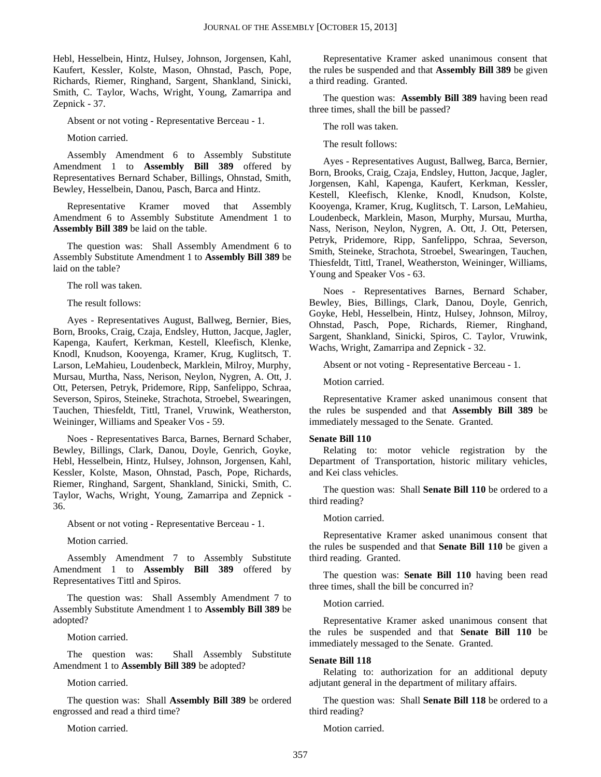Hebl, Hesselbein, Hintz, Hulsey, Johnson, Jorgensen, Kahl, Kaufert, Kessler, Kolste, Mason, Ohnstad, Pasch, Pope, Richards, Riemer, Ringhand, Sargent, Shankland, Sinicki, Smith, C. Taylor, Wachs, Wright, Young, Zamarripa and Zepnick - 37.

Absent or not voting - Representative Berceau - 1.

Motion carried.

Assembly Amendment 6 to Assembly Substitute Amendment 1 to **Assembly Bill 389** offered by Representatives Bernard Schaber, Billings, Ohnstad, Smith, Bewley, Hesselbein, Danou, Pasch, Barca and Hintz.

Representative Kramer moved that Assembly Amendment 6 to Assembly Substitute Amendment 1 to **Assembly Bill 389** be laid on the table.

The question was: Shall Assembly Amendment 6 to Assembly Substitute Amendment 1 to **Assembly Bill 389** be laid on the table?

The roll was taken.

The result follows:

Ayes - Representatives August, Ballweg, Bernier, Bies, Born, Brooks, Craig, Czaja, Endsley, Hutton, Jacque, Jagler, Kapenga, Kaufert, Kerkman, Kestell, Kleefisch, Klenke, Knodl, Knudson, Kooyenga, Kramer, Krug, Kuglitsch, T. Larson, LeMahieu, Loudenbeck, Marklein, Milroy, Murphy, Mursau, Murtha, Nass, Nerison, Neylon, Nygren, A. Ott, J. Ott, Petersen, Petryk, Pridemore, Ripp, Sanfelippo, Schraa, Severson, Spiros, Steineke, Strachota, Stroebel, Swearingen, Tauchen, Thiesfeldt, Tittl, Tranel, Vruwink, Weatherston, Weininger, Williams and Speaker Vos - 59.

Noes - Representatives Barca, Barnes, Bernard Schaber, Bewley, Billings, Clark, Danou, Doyle, Genrich, Goyke, Hebl, Hesselbein, Hintz, Hulsey, Johnson, Jorgensen, Kahl, Kessler, Kolste, Mason, Ohnstad, Pasch, Pope, Richards, Riemer, Ringhand, Sargent, Shankland, Sinicki, Smith, C. Taylor, Wachs, Wright, Young, Zamarripa and Zepnick - 36.

Absent or not voting - Representative Berceau - 1.

Motion carried.

Assembly Amendment 7 to Assembly Substitute Amendment 1 to **Assembly Bill 389** offered by Representatives Tittl and Spiros.

The question was: Shall Assembly Amendment 7 to Assembly Substitute Amendment 1 to **Assembly Bill 389** be adopted?

Motion carried.

The question was: Shall Assembly Substitute Amendment 1 to **Assembly Bill 389** be adopted?

Motion carried.

The question was: Shall **Assembly Bill 389** be ordered engrossed and read a third time?

Motion carried.

Representative Kramer asked unanimous consent that the rules be suspended and that **Assembly Bill 389** be given a third reading. Granted.

The question was: **Assembly Bill 389** having been read three times, shall the bill be passed?

The roll was taken.

The result follows:

Ayes - Representatives August, Ballweg, Barca, Bernier, Born, Brooks, Craig, Czaja, Endsley, Hutton, Jacque, Jagler, Jorgensen, Kahl, Kapenga, Kaufert, Kerkman, Kessler, Kestell, Kleefisch, Klenke, Knodl, Knudson, Kolste, Kooyenga, Kramer, Krug, Kuglitsch, T. Larson, LeMahieu, Loudenbeck, Marklein, Mason, Murphy, Mursau, Murtha, Nass, Nerison, Neylon, Nygren, A. Ott, J. Ott, Petersen, Petryk, Pridemore, Ripp, Sanfelippo, Schraa, Severson, Smith, Steineke, Strachota, Stroebel, Swearingen, Tauchen, Thiesfeldt, Tittl, Tranel, Weatherston, Weininger, Williams, Young and Speaker Vos - 63.

Noes - Representatives Barnes, Bernard Schaber, Bewley, Bies, Billings, Clark, Danou, Doyle, Genrich, Goyke, Hebl, Hesselbein, Hintz, Hulsey, Johnson, Milroy, Ohnstad, Pasch, Pope, Richards, Riemer, Ringhand, Sargent, Shankland, Sinicki, Spiros, C. Taylor, Vruwink, Wachs, Wright, Zamarripa and Zepnick - 32.

Absent or not voting - Representative Berceau - 1.

Motion carried.

Representative Kramer asked unanimous consent that the rules be suspended and that **Assembly Bill 389** be immediately messaged to the Senate. Granted.

#### **Senate Bill 110**

Relating to: motor vehicle registration by the Department of Transportation, historic military vehicles, and Kei class vehicles.

The question was: Shall **Senate Bill 110** be ordered to a third reading?

Motion carried.

Representative Kramer asked unanimous consent that the rules be suspended and that **Senate Bill 110** be given a third reading. Granted.

The question was: **Senate Bill 110** having been read three times, shall the bill be concurred in?

Motion carried.

Representative Kramer asked unanimous consent that the rules be suspended and that **Senate Bill 110** be immediately messaged to the Senate. Granted.

#### **Senate Bill 118**

Relating to: authorization for an additional deputy adjutant general in the department of military affairs.

The question was: Shall **Senate Bill 118** be ordered to a third reading?

Motion carried.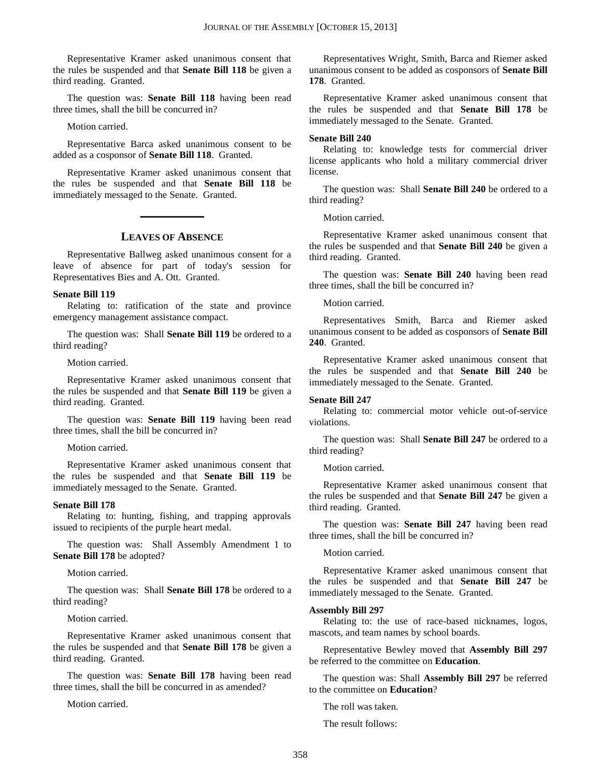Representative Kramer asked unanimous consent that the rules be suspended and that **Senate Bill 118** be given a third reading. Granted.

The question was: **Senate Bill 118** having been read three times, shall the bill be concurred in?

Motion carried.

Representative Barca asked unanimous consent to be added as a cosponsor of **Senate Bill 118**. Granted.

Representative Kramer asked unanimous consent that the rules be suspended and that **Senate Bill 118** be immediately messaged to the Senate. Granted.

#### **LEAVES OF ABSENCE**

**\_\_\_\_\_\_\_\_\_\_\_\_\_**

Representative Ballweg asked unanimous consent for a leave of absence for part of today's session for Representatives Bies and A. Ott. Granted.

#### **Senate Bill 119**

Relating to: ratification of the state and province emergency management assistance compact.

The question was: Shall **Senate Bill 119** be ordered to a third reading?

Motion carried.

Representative Kramer asked unanimous consent that the rules be suspended and that **Senate Bill 119** be given a third reading. Granted.

The question was: **Senate Bill 119** having been read three times, shall the bill be concurred in?

Motion carried.

Representative Kramer asked unanimous consent that the rules be suspended and that **Senate Bill 119** be immediately messaged to the Senate. Granted.

#### **Senate Bill 178**

Relating to: hunting, fishing, and trapping approvals issued to recipients of the purple heart medal.

The question was: Shall Assembly Amendment 1 to **Senate Bill 178** be adopted?

Motion carried.

The question was: Shall **Senate Bill 178** be ordered to a third reading?

Motion carried.

Representative Kramer asked unanimous consent that the rules be suspended and that **Senate Bill 178** be given a third reading. Granted.

The question was: **Senate Bill 178** having been read three times, shall the bill be concurred in as amended?

Motion carried.

Representatives Wright, Smith, Barca and Riemer asked unanimous consent to be added as cosponsors of **Senate Bill 178**. Granted.

Representative Kramer asked unanimous consent that the rules be suspended and that **Senate Bill 178** be immediately messaged to the Senate. Granted.

#### **Senate Bill 240**

Relating to: knowledge tests for commercial driver license applicants who hold a military commercial driver license.

The question was: Shall **Senate Bill 240** be ordered to a third reading?

Motion carried.

Representative Kramer asked unanimous consent that the rules be suspended and that **Senate Bill 240** be given a third reading. Granted.

The question was: **Senate Bill 240** having been read three times, shall the bill be concurred in?

Motion carried.

Representatives Smith, Barca and Riemer asked unanimous consent to be added as cosponsors of **Senate Bill 240**. Granted.

Representative Kramer asked unanimous consent that the rules be suspended and that **Senate Bill 240** be immediately messaged to the Senate. Granted.

#### **Senate Bill 247**

Relating to: commercial motor vehicle out-of-service violations.

The question was: Shall **Senate Bill 247** be ordered to a third reading?

Motion carried.

Representative Kramer asked unanimous consent that the rules be suspended and that **Senate Bill 247** be given a third reading. Granted.

The question was: **Senate Bill 247** having been read three times, shall the bill be concurred in?

Motion carried.

Representative Kramer asked unanimous consent that the rules be suspended and that **Senate Bill 247** be immediately messaged to the Senate. Granted.

#### **Assembly Bill 297**

Relating to: the use of race-based nicknames, logos, mascots, and team names by school boards.

Representative Bewley moved that **Assembly Bill 297** be referred to the committee on **Education**.

The question was: Shall **Assembly Bill 297** be referred to the committee on **Education**?

The roll was taken.

The result follows: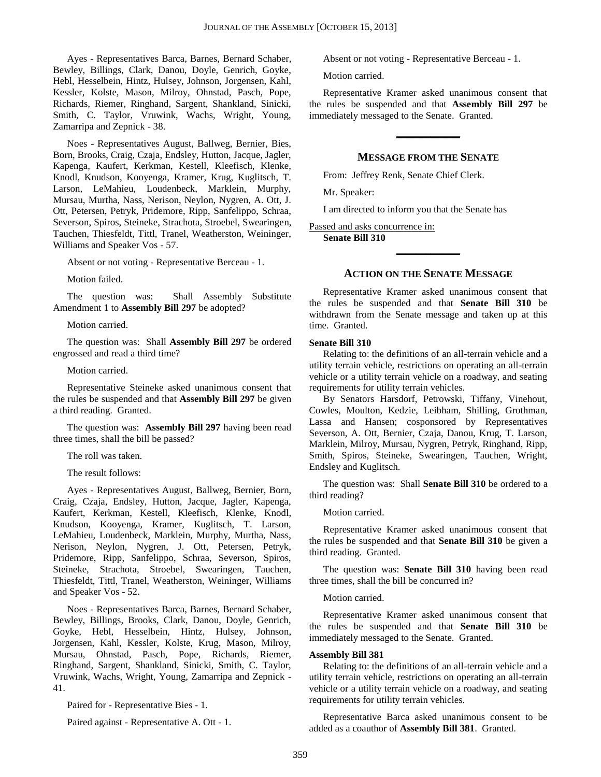Ayes - Representatives Barca, Barnes, Bernard Schaber, Bewley, Billings, Clark, Danou, Doyle, Genrich, Goyke, Hebl, Hesselbein, Hintz, Hulsey, Johnson, Jorgensen, Kahl, Kessler, Kolste, Mason, Milroy, Ohnstad, Pasch, Pope, Richards, Riemer, Ringhand, Sargent, Shankland, Sinicki, Smith, C. Taylor, Vruwink, Wachs, Wright, Young, Zamarripa and Zepnick - 38.

Noes - Representatives August, Ballweg, Bernier, Bies, Born, Brooks, Craig, Czaja, Endsley, Hutton, Jacque, Jagler, Kapenga, Kaufert, Kerkman, Kestell, Kleefisch, Klenke, Knodl, Knudson, Kooyenga, Kramer, Krug, Kuglitsch, T. Larson, LeMahieu, Loudenbeck, Marklein, Murphy, Mursau, Murtha, Nass, Nerison, Neylon, Nygren, A. Ott, J. Ott, Petersen, Petryk, Pridemore, Ripp, Sanfelippo, Schraa, Severson, Spiros, Steineke, Strachota, Stroebel, Swearingen, Tauchen, Thiesfeldt, Tittl, Tranel, Weatherston, Weininger, Williams and Speaker Vos - 57.

Absent or not voting - Representative Berceau - 1.

Motion failed.

The question was: Shall Assembly Substitute Amendment 1 to **Assembly Bill 297** be adopted?

Motion carried.

The question was: Shall **Assembly Bill 297** be ordered engrossed and read a third time?

#### Motion carried.

Representative Steineke asked unanimous consent that the rules be suspended and that **Assembly Bill 297** be given a third reading. Granted.

The question was: **Assembly Bill 297** having been read three times, shall the bill be passed?

The roll was taken.

The result follows:

Ayes - Representatives August, Ballweg, Bernier, Born, Craig, Czaja, Endsley, Hutton, Jacque, Jagler, Kapenga, Kaufert, Kerkman, Kestell, Kleefisch, Klenke, Knodl, Knudson, Kooyenga, Kramer, Kuglitsch, T. Larson, LeMahieu, Loudenbeck, Marklein, Murphy, Murtha, Nass, Nerison, Neylon, Nygren, J. Ott, Petersen, Petryk, Pridemore, Ripp, Sanfelippo, Schraa, Severson, Spiros, Steineke, Strachota, Stroebel, Swearingen, Tauchen, Thiesfeldt, Tittl, Tranel, Weatherston, Weininger, Williams and Speaker Vos - 52.

Noes - Representatives Barca, Barnes, Bernard Schaber, Bewley, Billings, Brooks, Clark, Danou, Doyle, Genrich, Goyke, Hebl, Hesselbein, Hintz, Hulsey, Johnson, Jorgensen, Kahl, Kessler, Kolste, Krug, Mason, Milroy, Mursau, Ohnstad, Pasch, Pope, Richards, Riemer, Ringhand, Sargent, Shankland, Sinicki, Smith, C. Taylor, Vruwink, Wachs, Wright, Young, Zamarripa and Zepnick - 41.

Paired for - Representative Bies - 1.

Paired against - Representative A. Ott - 1.

Absent or not voting - Representative Berceau - 1.

Motion carried.

Representative Kramer asked unanimous consent that the rules be suspended and that **Assembly Bill 297** be immediately messaged to the Senate. Granted.

#### **MESSAGE FROM THE SENATE**

**\_\_\_\_\_\_\_\_\_\_\_\_\_**

From: Jeffrey Renk, Senate Chief Clerk.

Mr. Speaker:

I am directed to inform you that the Senate has

#### Passed and asks concurrence in:

**Senate Bill 310**

#### **ACTION ON THE SENATE MESSAGE**

**\_\_\_\_\_\_\_\_\_\_\_\_\_**

Representative Kramer asked unanimous consent that the rules be suspended and that **Senate Bill 310** be withdrawn from the Senate message and taken up at this time. Granted.

#### **Senate Bill 310**

Relating to: the definitions of an all-terrain vehicle and a utility terrain vehicle, restrictions on operating an all-terrain vehicle or a utility terrain vehicle on a roadway, and seating requirements for utility terrain vehicles.

By Senators Harsdorf, Petrowski, Tiffany, Vinehout, Cowles, Moulton, Kedzie, Leibham, Shilling, Grothman, Lassa and Hansen; cosponsored by Representatives Severson, A. Ott, Bernier, Czaja, Danou, Krug, T. Larson, Marklein, Milroy, Mursau, Nygren, Petryk, Ringhand, Ripp, Smith, Spiros, Steineke, Swearingen, Tauchen, Wright, Endsley and Kuglitsch.

The question was: Shall **Senate Bill 310** be ordered to a third reading?

Motion carried.

Representative Kramer asked unanimous consent that the rules be suspended and that **Senate Bill 310** be given a third reading. Granted.

The question was: **Senate Bill 310** having been read three times, shall the bill be concurred in?

#### Motion carried.

Representative Kramer asked unanimous consent that the rules be suspended and that **Senate Bill 310** be immediately messaged to the Senate. Granted.

#### **Assembly Bill 381**

Relating to: the definitions of an all-terrain vehicle and a utility terrain vehicle, restrictions on operating an all-terrain vehicle or a utility terrain vehicle on a roadway, and seating requirements for utility terrain vehicles.

Representative Barca asked unanimous consent to be added as a coauthor of **Assembly Bill 381**. Granted.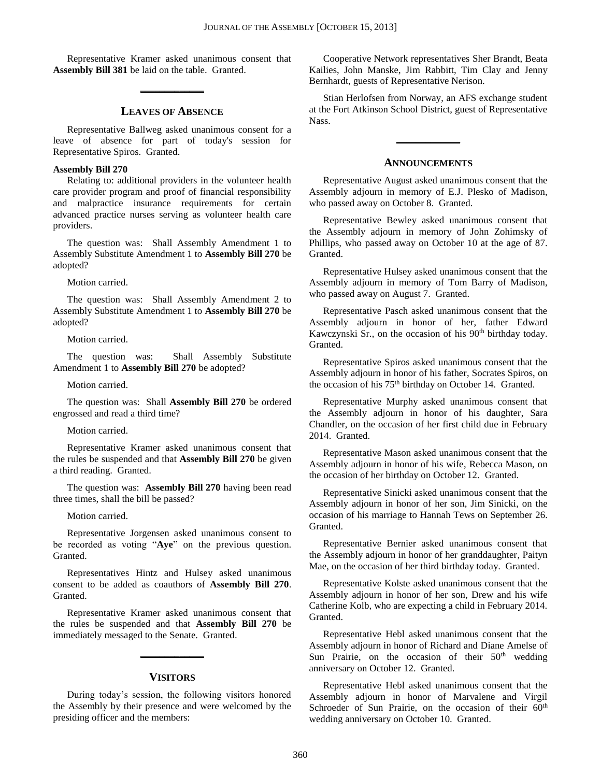Representative Kramer asked unanimous consent that **Assembly Bill 381** be laid on the table. Granted.

**\_\_\_\_\_\_\_\_\_\_\_\_\_**

#### **LEAVES OF ABSENCE**

Representative Ballweg asked unanimous consent for a leave of absence for part of today's session for Representative Spiros. Granted.

#### **Assembly Bill 270**

Relating to: additional providers in the volunteer health care provider program and proof of financial responsibility and malpractice insurance requirements for certain advanced practice nurses serving as volunteer health care providers.

The question was: Shall Assembly Amendment 1 to Assembly Substitute Amendment 1 to **Assembly Bill 270** be adopted?

Motion carried.

The question was: Shall Assembly Amendment 2 to Assembly Substitute Amendment 1 to **Assembly Bill 270** be adopted?

Motion carried.

The question was: Shall Assembly Substitute Amendment 1 to **Assembly Bill 270** be adopted?

Motion carried.

The question was: Shall **Assembly Bill 270** be ordered engrossed and read a third time?

#### Motion carried.

Representative Kramer asked unanimous consent that the rules be suspended and that **Assembly Bill 270** be given a third reading. Granted.

The question was: **Assembly Bill 270** having been read three times, shall the bill be passed?

Motion carried.

Representative Jorgensen asked unanimous consent to be recorded as voting "**Aye**" on the previous question. Granted.

Representatives Hintz and Hulsey asked unanimous consent to be added as coauthors of **Assembly Bill 270**. Granted.

Representative Kramer asked unanimous consent that the rules be suspended and that **Assembly Bill 270** be immediately messaged to the Senate. Granted.

#### **VISITORS**

**\_\_\_\_\_\_\_\_\_\_\_\_\_**

During today's session, the following visitors honored the Assembly by their presence and were welcomed by the presiding officer and the members:

Cooperative Network representatives Sher Brandt, Beata Kailies, John Manske, Jim Rabbitt, Tim Clay and Jenny Bernhardt, guests of Representative Nerison.

Stian Herlofsen from Norway, an AFS exchange student at the Fort Atkinson School District, guest of Representative Nass.

#### **ANNOUNCEMENTS**

**\_\_\_\_\_\_\_\_\_\_\_\_\_**

Representative August asked unanimous consent that the Assembly adjourn in memory of E.J. Plesko of Madison, who passed away on October 8. Granted.

Representative Bewley asked unanimous consent that the Assembly adjourn in memory of John Zohimsky of Phillips, who passed away on October 10 at the age of 87. Granted.

Representative Hulsey asked unanimous consent that the Assembly adjourn in memory of Tom Barry of Madison, who passed away on August 7. Granted.

Representative Pasch asked unanimous consent that the Assembly adjourn in honor of her, father Edward Kawczynski Sr., on the occasion of his  $90<sup>th</sup>$  birthday today. Granted.

Representative Spiros asked unanimous consent that the Assembly adjourn in honor of his father, Socrates Spiros, on the occasion of his 75<sup>th</sup> birthday on October 14. Granted.

Representative Murphy asked unanimous consent that the Assembly adjourn in honor of his daughter, Sara Chandler, on the occasion of her first child due in February 2014. Granted.

Representative Mason asked unanimous consent that the Assembly adjourn in honor of his wife, Rebecca Mason, on the occasion of her birthday on October 12. Granted.

Representative Sinicki asked unanimous consent that the Assembly adjourn in honor of her son, Jim Sinicki, on the occasion of his marriage to Hannah Tews on September 26. Granted.

Representative Bernier asked unanimous consent that the Assembly adjourn in honor of her granddaughter, Paityn Mae, on the occasion of her third birthday today. Granted.

Representative Kolste asked unanimous consent that the Assembly adjourn in honor of her son, Drew and his wife Catherine Kolb, who are expecting a child in February 2014. Granted.

Representative Hebl asked unanimous consent that the Assembly adjourn in honor of Richard and Diane Amelse of Sun Prairie, on the occasion of their 50<sup>th</sup> wedding anniversary on October 12. Granted.

Representative Hebl asked unanimous consent that the Assembly adjourn in honor of Marvalene and Virgil Schroeder of Sun Prairie, on the occasion of their 60<sup>th</sup> wedding anniversary on October 10. Granted.